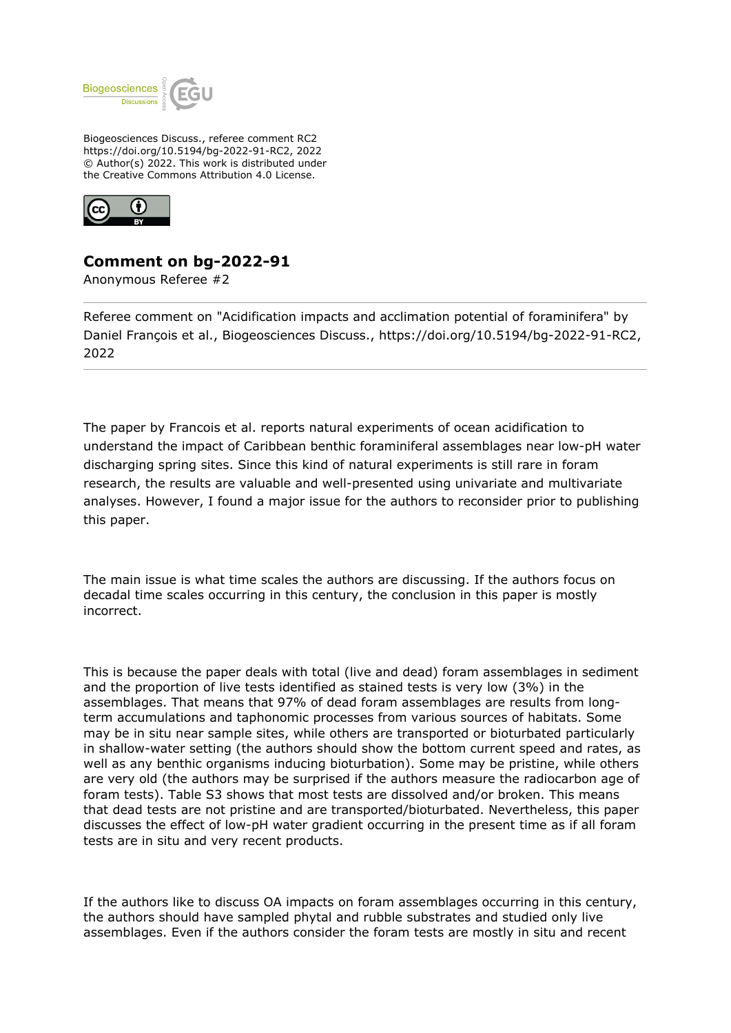

Biogeosciences Discuss., referee comment RC2 https://doi.org/10.5194/bg-2022-91-RC2, 2022 © Author(s) 2022. This work is distributed under the Creative Commons Attribution 4.0 License.



## **Comment on bg-2022-91**

Anonymous Referee #2

Referee comment on "Acidification impacts and acclimation potential of foraminifera" by Daniel François et al., Biogeosciences Discuss., https://doi.org/10.5194/bg-2022-91-RC2, 2022

The paper by Francois et al. reports natural experiments of ocean acidification to understand the impact of Caribbean benthic foraminiferal assemblages near low-pH water discharging spring sites. Since this kind of natural experiments is still rare in foram research, the results are valuable and well-presented using univariate and multivariate analyses. However, I found a major issue for the authors to reconsider prior to publishing this paper.

The main issue is what time scales the authors are discussing. If the authors focus on decadal time scales occurring in this century, the conclusion in this paper is mostly incorrect.

This is because the paper deals with total (live and dead) foram assemblages in sediment and the proportion of live tests identified as stained tests is very low (3%) in the assemblages. That means that 97% of dead foram assemblages are results from longterm accumulations and taphonomic processes from various sources of habitats. Some may be in situ near sample sites, while others are transported or bioturbated particularly in shallow-water setting (the authors should show the bottom current speed and rates, as well as any benthic organisms inducing bioturbation). Some may be pristine, while others are very old (the authors may be surprised if the authors measure the radiocarbon age of foram tests). Table S3 shows that most tests are dissolved and/or broken. This means that dead tests are not pristine and are transported/bioturbated. Nevertheless, this paper discusses the effect of low-pH water gradient occurring in the present time as if all foram tests are in situ and very recent products.

If the authors like to discuss OA impacts on foram assemblages occurring in this century, the authors should have sampled phytal and rubble substrates and studied only live assemblages. Even if the authors consider the foram tests are mostly in situ and recent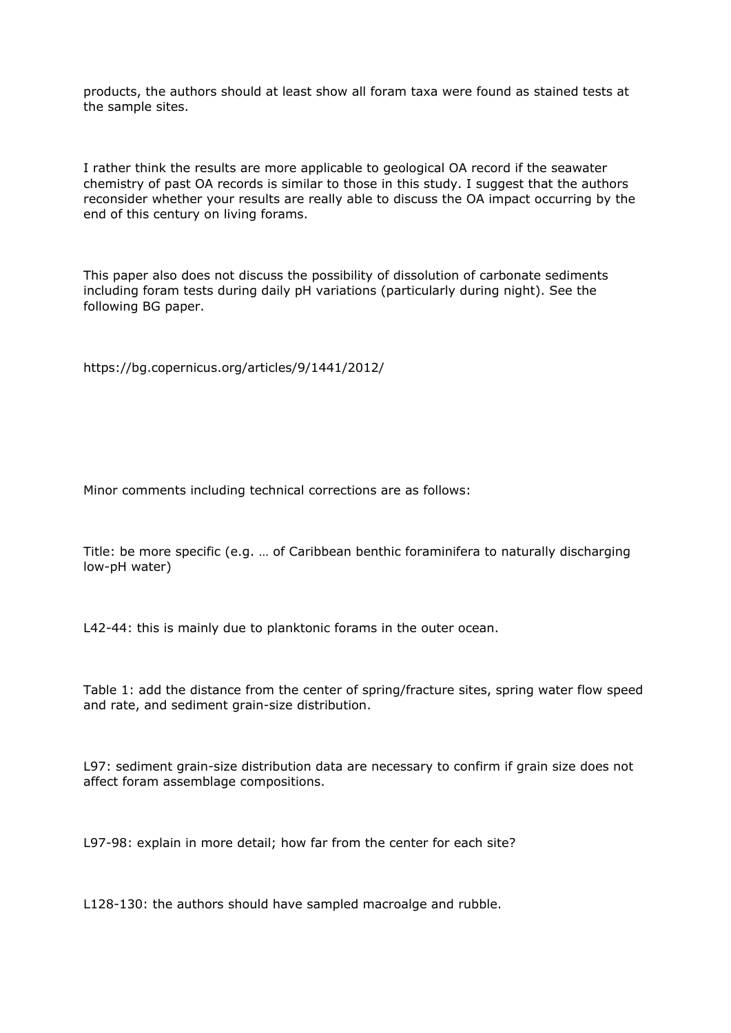products, the authors should at least show all foram taxa were found as stained tests at the sample sites.

I rather think the results are more applicable to geological OA record if the seawater chemistry of past OA records is similar to those in this study. I suggest that the authors reconsider whether your results are really able to discuss the OA impact occurring by the end of this century on living forams.

This paper also does not discuss the possibility of dissolution of carbonate sediments including foram tests during daily pH variations (particularly during night). See the following BG paper.

https://bg.copernicus.org/articles/9/1441/2012/

Minor comments including technical corrections are as follows:

Title: be more specific (e.g. … of Caribbean benthic foraminifera to naturally discharging low-pH water)

L42-44: this is mainly due to planktonic forams in the outer ocean.

Table 1: add the distance from the center of spring/fracture sites, spring water flow speed and rate, and sediment grain-size distribution.

L97: sediment grain-size distribution data are necessary to confirm if grain size does not affect foram assemblage compositions.

L97-98: explain in more detail; how far from the center for each site?

L128-130: the authors should have sampled macroalge and rubble.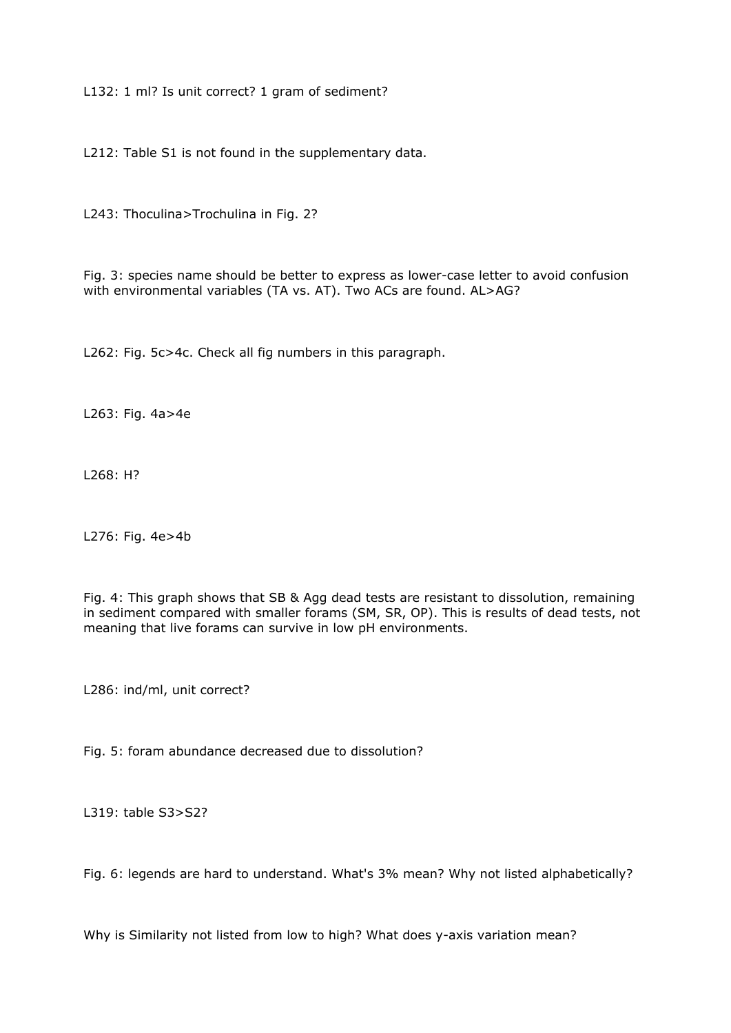L132: 1 ml? Is unit correct? 1 gram of sediment?

L212: Table S1 is not found in the supplementary data.

L243: Thoculina>Trochulina in Fig. 2?

Fig. 3: species name should be better to express as lower-case letter to avoid confusion with environmental variables (TA vs. AT). Two ACs are found. AL>AG?

L262: Fig. 5c>4c. Check all fig numbers in this paragraph.

L263: Fig. 4a>4e

L268: H?

L276: Fig. 4e>4b

Fig. 4: This graph shows that SB & Agg dead tests are resistant to dissolution, remaining in sediment compared with smaller forams (SM, SR, OP). This is results of dead tests, not meaning that live forams can survive in low pH environments.

L286: ind/ml, unit correct?

Fig. 5: foram abundance decreased due to dissolution?

L319: table S3>S2?

Fig. 6: legends are hard to understand. What's 3% mean? Why not listed alphabetically?

Why is Similarity not listed from low to high? What does y-axis variation mean?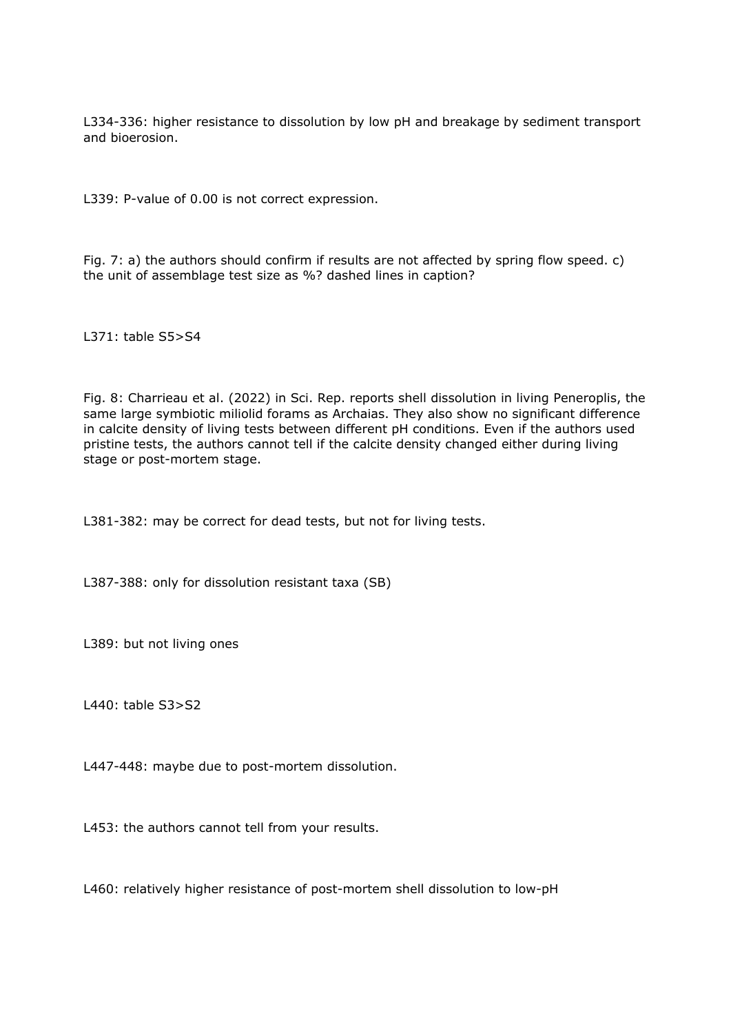L334-336: higher resistance to dissolution by low pH and breakage by sediment transport and bioerosion.

L339: P-value of 0.00 is not correct expression.

Fig. 7: a) the authors should confirm if results are not affected by spring flow speed. c) the unit of assemblage test size as %? dashed lines in caption?

L371: table S5>S4

Fig. 8: Charrieau et al. (2022) in Sci. Rep. reports shell dissolution in living Peneroplis, the same large symbiotic miliolid forams as Archaias. They also show no significant difference in calcite density of living tests between different pH conditions. Even if the authors used pristine tests, the authors cannot tell if the calcite density changed either during living stage or post-mortem stage.

L381-382: may be correct for dead tests, but not for living tests.

L387-388: only for dissolution resistant taxa (SB)

L389: but not living ones

L440: table S3>S2

L447-448: maybe due to post-mortem dissolution.

L453: the authors cannot tell from your results.

L460: relatively higher resistance of post-mortem shell dissolution to low-pH